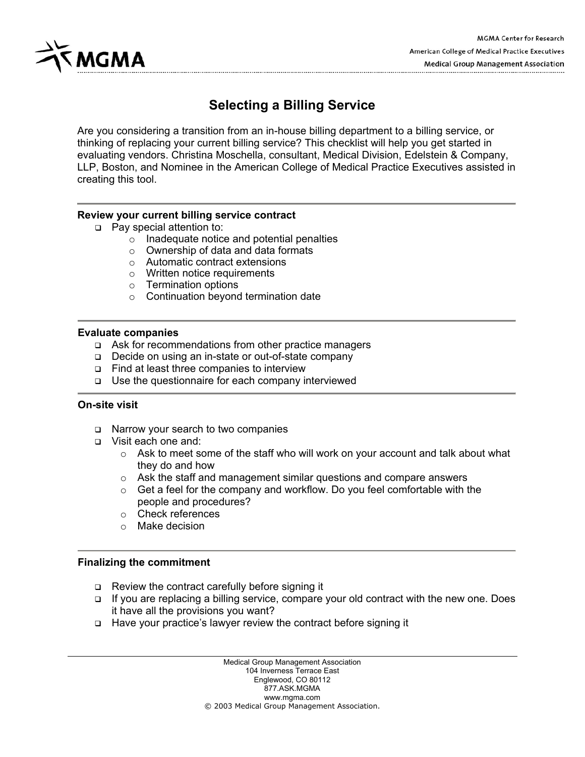

# **Selecting a Billing Service**

Are you considering a transition from an in-house billing department to a billing service, or thinking of replacing your current billing service? This checklist will help you get started in evaluating vendors. Christina Moschella, consultant, Medical Division, Edelstein & Company, LLP, Boston, and Nominee in the American College of Medical Practice Executives assisted in creating this tool.

#### **Review your current billing service contract**

- □ Pay special attention to:
	- $\circ$  Inadequate notice and potential penalties
	- $\circ$  Ownership of data and data formats
	- o Automatic contract extensions
	- o Written notice requirements
	- o Termination options
	- o Continuation beyond termination date

#### **Evaluate companies**

- $\Box$  Ask for recommendations from other practice managers
- □ Decide on using an in-state or out-of-state company
- $\Box$  Find at least three companies to interview
- $\Box$  Use the questionnaire for each company interviewed

#### **On-site visit**

- □ Narrow your search to two companies
- Visit each one and:
	- $\circ$  Ask to meet some of the staff who will work on your account and talk about what they do and how
	- o Ask the staff and management similar questions and compare answers
	- o Get a feel for the company and workflow. Do you feel comfortable with the people and procedures?
	- o Check references
	- o Make decision

#### **Finalizing the commitment**

- $\Box$  Review the contract carefully before signing it
- □ If you are replacing a billing service, compare your old contract with the new one. Does it have all the provisions you want?
- Have your practice's lawyer review the contract before signing it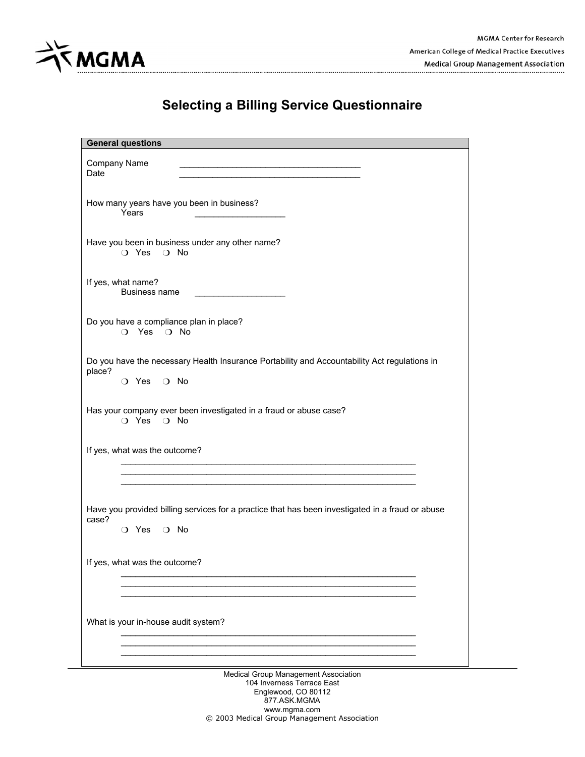

| <b>General questions</b>                                                                                                               |
|----------------------------------------------------------------------------------------------------------------------------------------|
| Company Name<br>Date                                                                                                                   |
| How many years have you been in business?<br>Years                                                                                     |
| Have you been in business under any other name?<br>O Yes O No                                                                          |
| If yes, what name?<br>Business name                                                                                                    |
| Do you have a compliance plan in place?<br>O Yes O No                                                                                  |
| Do you have the necessary Health Insurance Portability and Accountability Act regulations in<br>place?<br>$\bigcirc$ Yes $\bigcirc$ No |
| Has your company ever been investigated in a fraud or abuse case?<br>O Yes O No                                                        |
| If yes, what was the outcome?                                                                                                          |
| Have you provided billing services for a practice that has been investigated in a fraud or abuse<br>case?<br>O Yes O No                |
| If yes, what was the outcome?                                                                                                          |
| What is your in-house audit system?                                                                                                    |
| Modical Croup Managament Accoriation                                                                                                   |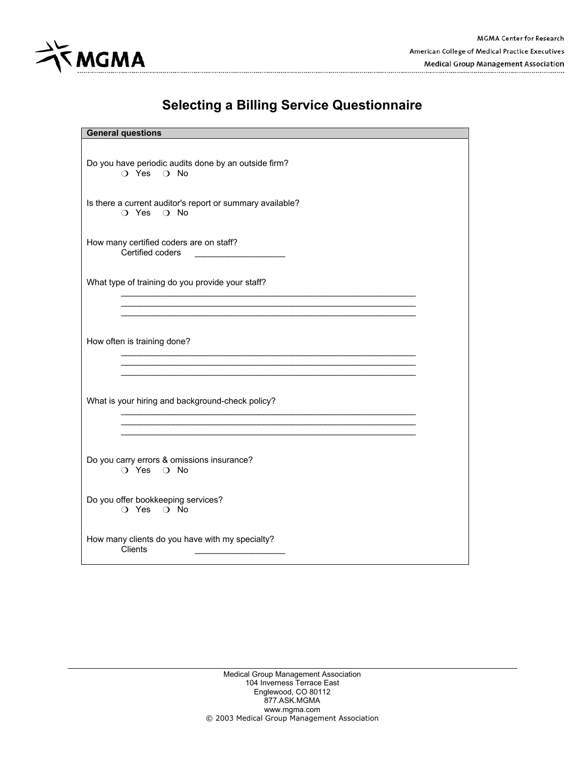

| <b>General questions</b>                                                |
|-------------------------------------------------------------------------|
| Do you have periodic audits done by an outside firm?<br>O Yes O No      |
| Is there a current auditor's report or summary available?<br>O Yes O No |
| How many certified coders are on staff?<br>Certified coders             |
| What type of training do you provide your staff?                        |
| How often is training done?                                             |
| What is your hiring and background-check policy?                        |
| Do you carry errors & omissions insurance?<br>O Yes O No                |
| Do you offer bookkeeping services?<br>O Yes O No                        |
| How many clients do you have with my specialty?<br>Clients              |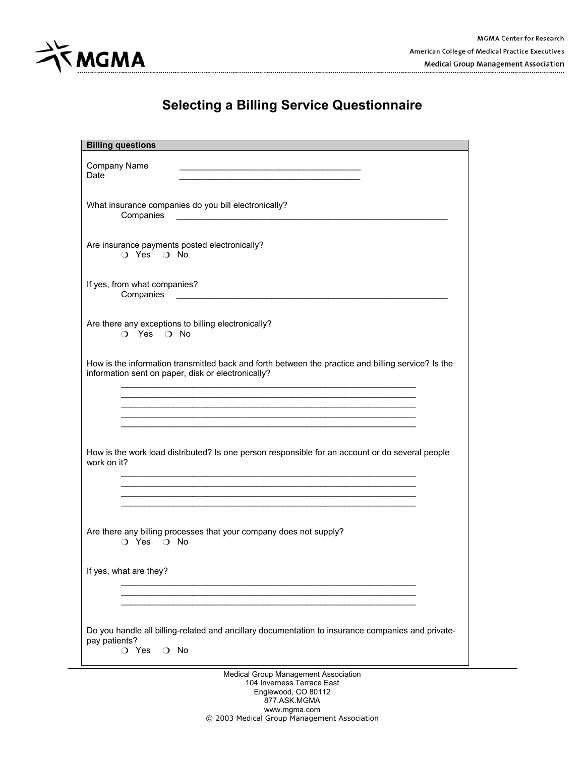

| <b>Billing questions</b>                                                                                                                                           |
|--------------------------------------------------------------------------------------------------------------------------------------------------------------------|
| Company Name<br>Date                                                                                                                                               |
| What insurance companies do you bill electronically?<br>Companies                                                                                                  |
| Are insurance payments posted electronically?<br>O Yes O No                                                                                                        |
| If yes, from what companies?<br>Companies<br><u> 1989 - Johann Harry Harry Harry Harry Harry Harry Harry Harry Harry Harry Harry Harry Harry Harry Harry Harry</u> |
| Are there any exceptions to billing electronically?<br>O Yes O No                                                                                                  |
| How is the information transmitted back and forth between the practice and billing service? Is the<br>information sent on paper, disk or electronically?           |
|                                                                                                                                                                    |
|                                                                                                                                                                    |
| How is the work load distributed? Is one person responsible for an account or do several people<br>work on it?                                                     |
|                                                                                                                                                                    |
| Are there any billing processes that your company does not supply?<br>$\bigcap$ Yes $\bigcap$ No                                                                   |
| If yes, what are they?                                                                                                                                             |
|                                                                                                                                                                    |
| Do you handle all billing-related and ancillary documentation to insurance companies and private-<br>pay patients?<br>O Yes<br>$\Omega$ No                         |
| Medical Group Management Association                                                                                                                               |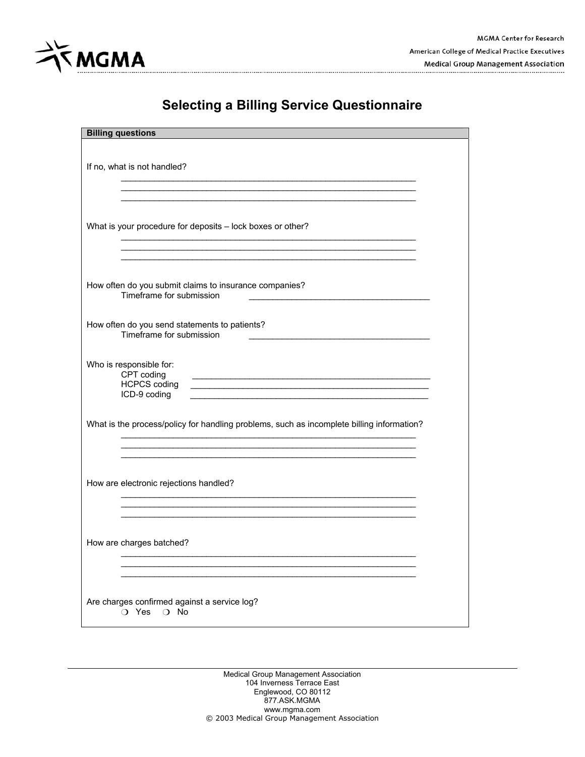

| <b>Billing questions</b>                                                                                                                                                                                                                                                                       |  |
|------------------------------------------------------------------------------------------------------------------------------------------------------------------------------------------------------------------------------------------------------------------------------------------------|--|
|                                                                                                                                                                                                                                                                                                |  |
| If no, what is not handled?                                                                                                                                                                                                                                                                    |  |
|                                                                                                                                                                                                                                                                                                |  |
| What is your procedure for deposits - lock boxes or other?                                                                                                                                                                                                                                     |  |
|                                                                                                                                                                                                                                                                                                |  |
| How often do you submit claims to insurance companies?<br>Timeframe for submission                                                                                                                                                                                                             |  |
| How often do you send statements to patients?<br>Timeframe for submission                                                                                                                                                                                                                      |  |
| Who is responsible for:<br>CPT coding<br><u> 1980 - Johann Stoff, die staatskriuw fan de Amerikaansk kommunister († 1901)</u><br><b>HCPCS coding</b><br><u> 1989 - Johann Stoff, deutscher Stoffen und der Stoffen und der Stoffen und der Stoffen und der Stoffen und der</u><br>ICD-9 coding |  |
| What is the process/policy for handling problems, such as incomplete billing information?                                                                                                                                                                                                      |  |
| How are electronic rejections handled?                                                                                                                                                                                                                                                         |  |
| How are charges batched?                                                                                                                                                                                                                                                                       |  |
|                                                                                                                                                                                                                                                                                                |  |
| Are charges confirmed against a service log?<br>$\bigcirc$ Yes<br>$\bigcirc$ No                                                                                                                                                                                                                |  |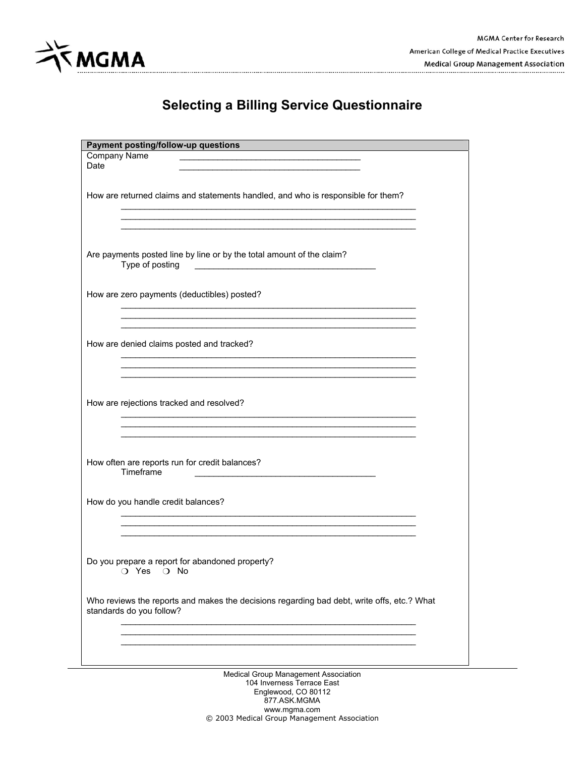

| Payment posting/follow-up questions                                                                                                                                                                                                                                 |
|---------------------------------------------------------------------------------------------------------------------------------------------------------------------------------------------------------------------------------------------------------------------|
| <b>Company Name</b><br>Date<br><u>and the company of the company of the company of the company of the company of the company of the company of the company of the company of the company of the company of the company of the company of the company of the com</u> |
| How are returned claims and statements handled, and who is responsible for them?                                                                                                                                                                                    |
|                                                                                                                                                                                                                                                                     |
| Are payments posted line by line or by the total amount of the claim?<br>Type of posting                                                                                                                                                                            |
| How are zero payments (deductibles) posted?                                                                                                                                                                                                                         |
| How are denied claims posted and tracked?                                                                                                                                                                                                                           |
|                                                                                                                                                                                                                                                                     |
| How are rejections tracked and resolved?                                                                                                                                                                                                                            |
| How often are reports run for credit balances?<br>Timeframe                                                                                                                                                                                                         |
| How do you handle credit balances?                                                                                                                                                                                                                                  |
| Do you prepare a report for abandoned property?<br>O Yes O No                                                                                                                                                                                                       |
| Who reviews the reports and makes the decisions regarding bad debt, write offs, etc.? What<br>standards do you follow?                                                                                                                                              |
|                                                                                                                                                                                                                                                                     |
| Medical Group Management Association<br>104 Inverness Terrace Fast                                                                                                                                                                                                  |

104 Inverness Terrace East Englewood, CO 80112 877.ASK.MGMA www.mgma.com © 2003 Medical Group Management Association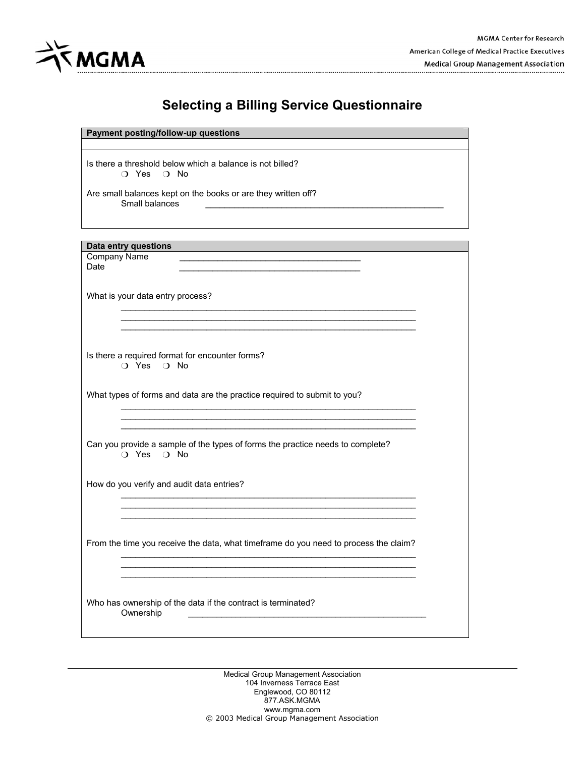

| Payment posting/follow-up questions                                                                                                         |  |
|---------------------------------------------------------------------------------------------------------------------------------------------|--|
|                                                                                                                                             |  |
| Is there a threshold below which a balance is not billed?<br>$\bigcirc$ Yes $\bigcirc$ No                                                   |  |
| Are small balances kept on the books or are they written off?<br>Small balances                                                             |  |
|                                                                                                                                             |  |
|                                                                                                                                             |  |
| Data entry questions                                                                                                                        |  |
| <b>Company Name</b><br><u> 1989 - Johann Barn, amerikan besteman besteman besteman besteman besteman besteman besteman besteman bestema</u> |  |
| Date                                                                                                                                        |  |
|                                                                                                                                             |  |
|                                                                                                                                             |  |
| What is your data entry process?                                                                                                            |  |
|                                                                                                                                             |  |
|                                                                                                                                             |  |
|                                                                                                                                             |  |
|                                                                                                                                             |  |
|                                                                                                                                             |  |
|                                                                                                                                             |  |
| Is there a required format for encounter forms?                                                                                             |  |
| O Yes O No                                                                                                                                  |  |
|                                                                                                                                             |  |
|                                                                                                                                             |  |
| What types of forms and data are the practice required to submit to you?                                                                    |  |
|                                                                                                                                             |  |
|                                                                                                                                             |  |
|                                                                                                                                             |  |
|                                                                                                                                             |  |
| Can you provide a sample of the types of forms the practice needs to complete?<br>$\bigcirc$ Yes $\bigcirc$ No                              |  |
|                                                                                                                                             |  |
| How do you verify and audit data entries?                                                                                                   |  |
|                                                                                                                                             |  |
|                                                                                                                                             |  |
|                                                                                                                                             |  |
|                                                                                                                                             |  |
|                                                                                                                                             |  |
|                                                                                                                                             |  |
| From the time you receive the data, what timeframe do you need to process the claim?                                                        |  |
|                                                                                                                                             |  |
|                                                                                                                                             |  |
|                                                                                                                                             |  |
|                                                                                                                                             |  |
|                                                                                                                                             |  |
|                                                                                                                                             |  |
| Who has ownership of the data if the contract is terminated?                                                                                |  |
| Ownership                                                                                                                                   |  |
|                                                                                                                                             |  |
|                                                                                                                                             |  |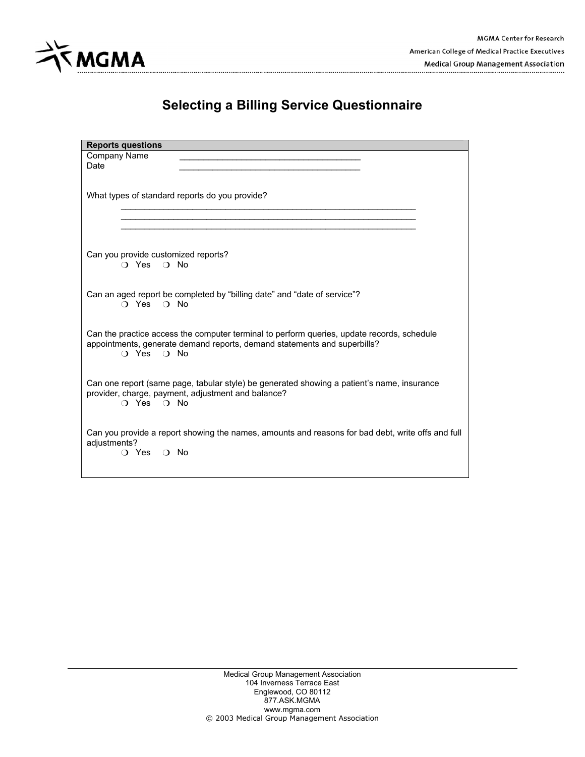

| <b>Reports questions</b>                                                                                                                                                                       |
|------------------------------------------------------------------------------------------------------------------------------------------------------------------------------------------------|
| Company Name<br>Date                                                                                                                                                                           |
| What types of standard reports do you provide?                                                                                                                                                 |
|                                                                                                                                                                                                |
| Can you provide customized reports?<br>$\bigcap$ Yes $\bigcap$ No                                                                                                                              |
| Can an aged report be completed by "billing date" and "date of service"?<br>$\bigcirc$ Yes $\bigcirc$ No                                                                                       |
| Can the practice access the computer terminal to perform queries, update records, schedule<br>appointments, generate demand reports, demand statements and superbills?<br>$\cap$ Yes $\cap$ No |
| Can one report (same page, tabular style) be generated showing a patient's name, insurance<br>provider, charge, payment, adjustment and balance?<br>$\cap$ Yes $\cap$ No                       |
| Can you provide a report showing the names, amounts and reasons for bad debt, write offs and full<br>adjustments?<br>$\bigcirc$ Yes $\bigcirc$ No                                              |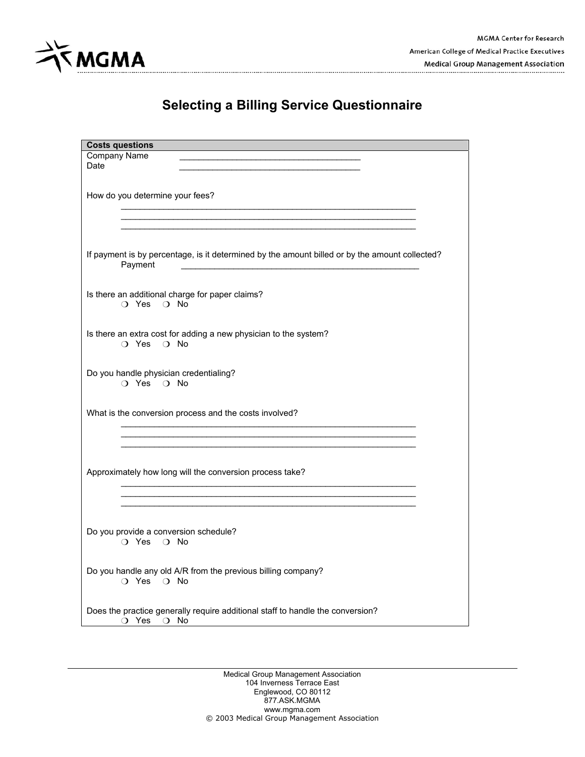

| <b>Costs questions</b>                                                                                    |
|-----------------------------------------------------------------------------------------------------------|
| <b>Company Name</b><br>Date                                                                               |
| How do you determine your fees?                                                                           |
|                                                                                                           |
|                                                                                                           |
| If payment is by percentage, is it determined by the amount billed or by the amount collected?<br>Payment |
| Is there an additional charge for paper claims?<br>O Yes O No                                             |
| Is there an extra cost for adding a new physician to the system?<br>O Yes O No                            |
| Do you handle physician credentialing?<br>O Yes O No                                                      |
| What is the conversion process and the costs involved?                                                    |
|                                                                                                           |
| Approximately how long will the conversion process take?                                                  |
|                                                                                                           |
| Do you provide a conversion schedule?<br>O Yes O No                                                       |
| Do you handle any old A/R from the previous billing company?<br>O Yes O No                                |
| Does the practice generally require additional staff to handle the conversion?<br>O Yes O No              |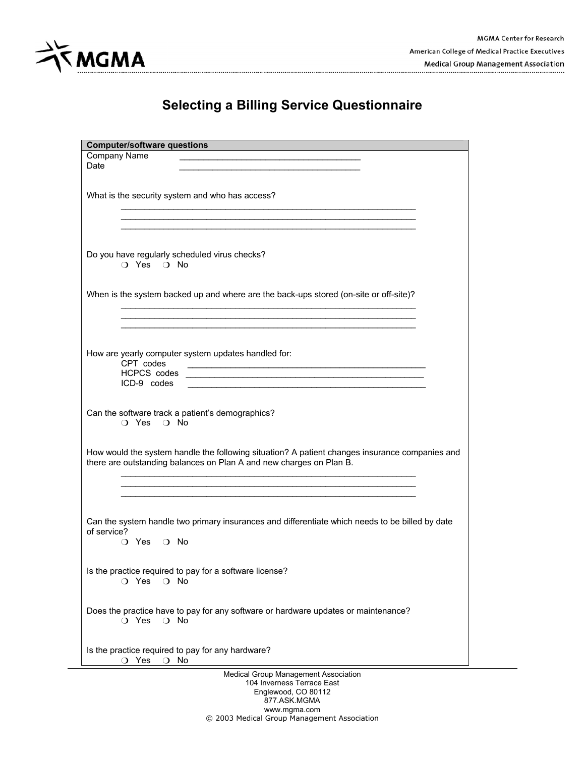

| <b>Computer/software questions</b>                                                                                                                                    |
|-----------------------------------------------------------------------------------------------------------------------------------------------------------------------|
| Company Name                                                                                                                                                          |
| Date                                                                                                                                                                  |
|                                                                                                                                                                       |
| What is the security system and who has access?                                                                                                                       |
|                                                                                                                                                                       |
|                                                                                                                                                                       |
|                                                                                                                                                                       |
|                                                                                                                                                                       |
| Do you have regularly scheduled virus checks?                                                                                                                         |
| $\bigcirc$ Yes $\bigcirc$ No                                                                                                                                          |
|                                                                                                                                                                       |
| When is the system backed up and where are the back-ups stored (on-site or off-site)?                                                                                 |
|                                                                                                                                                                       |
|                                                                                                                                                                       |
|                                                                                                                                                                       |
|                                                                                                                                                                       |
| How are yearly computer system updates handled for:                                                                                                                   |
| CPT codes<br><u> 1989 - Jan James James Barnett, amerikan bestein den soldat in den staatsmal van de staatsmal van de staatsm</u>                                     |
| <b>HCPCS</b> codes                                                                                                                                                    |
| ICD-9 codes                                                                                                                                                           |
|                                                                                                                                                                       |
| Can the software track a patient's demographics?                                                                                                                      |
| $\bigcirc$ Yes $\bigcirc$ No                                                                                                                                          |
|                                                                                                                                                                       |
|                                                                                                                                                                       |
| How would the system handle the following situation? A patient changes insurance companies and<br>there are outstanding balances on Plan A and new charges on Plan B. |
|                                                                                                                                                                       |
|                                                                                                                                                                       |
|                                                                                                                                                                       |
|                                                                                                                                                                       |
| Can the system handle two primary insurances and differentiate which needs to be billed by date                                                                       |
| of service?                                                                                                                                                           |
| ○ Yes ○ No                                                                                                                                                            |
|                                                                                                                                                                       |
| Is the practice required to pay for a software license?                                                                                                               |
| $O$ Yes<br>$\bigcirc$ No                                                                                                                                              |
|                                                                                                                                                                       |
|                                                                                                                                                                       |
| Does the practice have to pay for any software or hardware updates or maintenance?<br>$\bigcirc$ No                                                                   |
| O Yes                                                                                                                                                                 |
|                                                                                                                                                                       |
| Is the practice required to pay for any hardware?                                                                                                                     |
| O Yes<br>$\bigcirc$ No                                                                                                                                                |
| Medical Group Management Association                                                                                                                                  |
| 104 Inverness Terrace East                                                                                                                                            |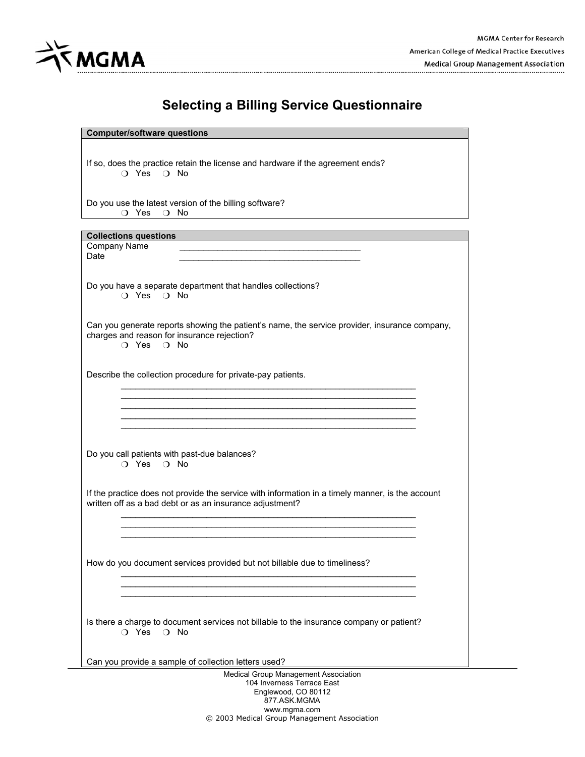

#### **Computer/software questions**

If so, does the practice retain the license and hardware if the agreement ends? O Yes O No

Do you use the latest version of the billing software? O Yes O No

#### **Collections questions**

Company Name Date  $\Box$ 

Do you have a separate department that handles collections? O Yes O No

Can you generate reports showing the patient's name, the service provider, insurance company, charges and reason for insurance rejection?

 $\mathcal{L}_\text{max}$  , and the contribution of the contribution of the contribution of the contribution of the contribution of the contribution of the contribution of the contribution of the contribution of the contribution of t  $\mathcal{L}_\text{max}$  , and the contribution of the contribution of the contribution of the contribution of the contribution of the contribution of the contribution of the contribution of the contribution of the contribution of t  $\mathcal{L}_\text{max}$  , and the contribution of the contribution of the contribution of the contribution of the contribution of the contribution of the contribution of the contribution of the contribution of the contribution of t  $\mathcal{L}_\text{max}$  , and the contribution of the contribution of the contribution of the contribution of the contribution of the contribution of the contribution of the contribution of the contribution of the contribution of t  $\mathcal{L}_\text{max}$  , and the contribution of the contribution of the contribution of the contribution of the contribution of the contribution of the contribution of the contribution of the contribution of the contribution of t

O Yes O No

Describe the collection procedure for private-pay patients.

Do you call patients with past-due balances? O Yes O No

If the practice does not provide the service with information in a timely manner, is the account written off as a bad debt or as an insurance adjustment?

 $\mathcal{L}_\text{max}$  , and the contribution of the contribution of the contribution of the contribution of the contribution of the contribution of the contribution of the contribution of the contribution of the contribution of t  $\mathcal{L}_\text{max}$  , and the contribution of the contribution of the contribution of the contribution of the contribution of the contribution of the contribution of the contribution of the contribution of the contribution of t  $\mathcal{L}_\text{max}$  , and the contribution of the contribution of the contribution of the contribution of the contribution of the contribution of the contribution of the contribution of the contribution of the contribution of t

 $\mathcal{L}_\text{max}$  , and the contribution of the contribution of the contribution of the contribution of the contribution of the contribution of the contribution of the contribution of the contribution of the contribution of t  $\mathcal{L}_\text{max}$  , and the contribution of the contribution of the contribution of the contribution of the contribution of the contribution of the contribution of the contribution of the contribution of the contribution of t  $\mathcal{L}_\text{max}$  , and the contribution of the contribution of the contribution of the contribution of the contribution of the contribution of the contribution of the contribution of the contribution of the contribution of t

How do you document services provided but not billable due to timeliness?

Is there a charge to document services not billable to the insurance company or patient? O Yes O No

Can you provide a sample of collection letters used?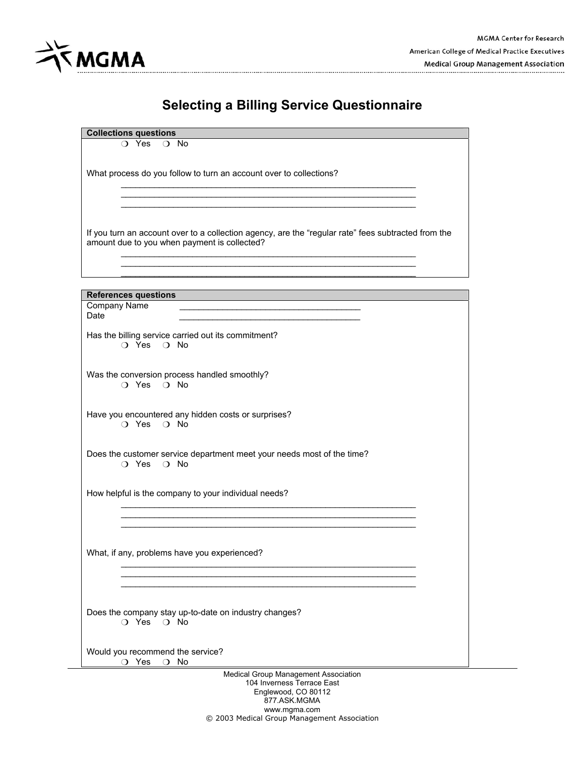

**Collections questions** 

What process do you follow to turn an account over to collections?

If you turn an account over to a collection agency, are the "regular rate" fees subtracted from the amount due to you when payment is collected?  $\mathcal{L}_\text{max}$  , and the contribution of the contribution of the contribution of the contribution of the contribution of the contribution of the contribution of the contribution of the contribution of the contribution of t

 $\mathcal{L}_\text{max}$  , and the contribution of the contribution of the contribution of the contribution of the contribution of the contribution of the contribution of the contribution of the contribution of the contribution of t  $\mathcal{L}_\text{max}$  , and the contribution of the contribution of the contribution of the contribution of the contribution of the contribution of the contribution of the contribution of the contribution of the contribution of t  $\mathcal{L}_\text{max}$  , and the contribution of the contribution of the contribution of the contribution of the contribution of the contribution of the contribution of the contribution of the contribution of the contribution of t

 $\mathcal{L}_\text{max}$  , and the set of the set of the set of the set of the set of the set of the set of the set of the set of the set of the set of the set of the set of the set of the set of the set of the set of the set of the  $\mathcal{L}_\text{max}$  , and the contribution of the contribution of the contribution of the contribution of the contribution of the contribution of the contribution of the contribution of the contribution of the contribution of t

| <b>References questions</b><br>Company Name<br>Date<br>Has the billing service carried out its commitment?<br>$\bigcirc$ Yes $\bigcirc$ No<br>Was the conversion process handled smoothly?<br>O Yes O No<br>Have you encountered any hidden costs or surprises?<br>$\bigcirc$ Yes $\bigcirc$ No<br>Does the customer service department meet your needs most of the time?<br>O Yes O No<br>How helpful is the company to your individual needs?<br>What, if any, problems have you experienced?<br>Does the company stay up-to-date on industry changes?<br>$\bigcirc$ Yes $\bigcirc$ No |
|------------------------------------------------------------------------------------------------------------------------------------------------------------------------------------------------------------------------------------------------------------------------------------------------------------------------------------------------------------------------------------------------------------------------------------------------------------------------------------------------------------------------------------------------------------------------------------------|
|                                                                                                                                                                                                                                                                                                                                                                                                                                                                                                                                                                                          |
|                                                                                                                                                                                                                                                                                                                                                                                                                                                                                                                                                                                          |
|                                                                                                                                                                                                                                                                                                                                                                                                                                                                                                                                                                                          |
|                                                                                                                                                                                                                                                                                                                                                                                                                                                                                                                                                                                          |
|                                                                                                                                                                                                                                                                                                                                                                                                                                                                                                                                                                                          |
|                                                                                                                                                                                                                                                                                                                                                                                                                                                                                                                                                                                          |
|                                                                                                                                                                                                                                                                                                                                                                                                                                                                                                                                                                                          |
|                                                                                                                                                                                                                                                                                                                                                                                                                                                                                                                                                                                          |
|                                                                                                                                                                                                                                                                                                                                                                                                                                                                                                                                                                                          |
|                                                                                                                                                                                                                                                                                                                                                                                                                                                                                                                                                                                          |
|                                                                                                                                                                                                                                                                                                                                                                                                                                                                                                                                                                                          |
|                                                                                                                                                                                                                                                                                                                                                                                                                                                                                                                                                                                          |
|                                                                                                                                                                                                                                                                                                                                                                                                                                                                                                                                                                                          |
|                                                                                                                                                                                                                                                                                                                                                                                                                                                                                                                                                                                          |
|                                                                                                                                                                                                                                                                                                                                                                                                                                                                                                                                                                                          |
|                                                                                                                                                                                                                                                                                                                                                                                                                                                                                                                                                                                          |
|                                                                                                                                                                                                                                                                                                                                                                                                                                                                                                                                                                                          |
|                                                                                                                                                                                                                                                                                                                                                                                                                                                                                                                                                                                          |
|                                                                                                                                                                                                                                                                                                                                                                                                                                                                                                                                                                                          |
|                                                                                                                                                                                                                                                                                                                                                                                                                                                                                                                                                                                          |
|                                                                                                                                                                                                                                                                                                                                                                                                                                                                                                                                                                                          |
|                                                                                                                                                                                                                                                                                                                                                                                                                                                                                                                                                                                          |
|                                                                                                                                                                                                                                                                                                                                                                                                                                                                                                                                                                                          |
|                                                                                                                                                                                                                                                                                                                                                                                                                                                                                                                                                                                          |
|                                                                                                                                                                                                                                                                                                                                                                                                                                                                                                                                                                                          |
|                                                                                                                                                                                                                                                                                                                                                                                                                                                                                                                                                                                          |
|                                                                                                                                                                                                                                                                                                                                                                                                                                                                                                                                                                                          |
|                                                                                                                                                                                                                                                                                                                                                                                                                                                                                                                                                                                          |
|                                                                                                                                                                                                                                                                                                                                                                                                                                                                                                                                                                                          |
|                                                                                                                                                                                                                                                                                                                                                                                                                                                                                                                                                                                          |
| Would you recommend the service?                                                                                                                                                                                                                                                                                                                                                                                                                                                                                                                                                         |
| O Yes<br>$\bigcirc$ No                                                                                                                                                                                                                                                                                                                                                                                                                                                                                                                                                                   |
| Medical Group Management Association<br>104 Inverness Terrace East                                                                                                                                                                                                                                                                                                                                                                                                                                                                                                                       |
| Englewood, CO 80112                                                                                                                                                                                                                                                                                                                                                                                                                                                                                                                                                                      |

877.ASK.MGMA www.mgma.com © 2003 Medical Group Management Association